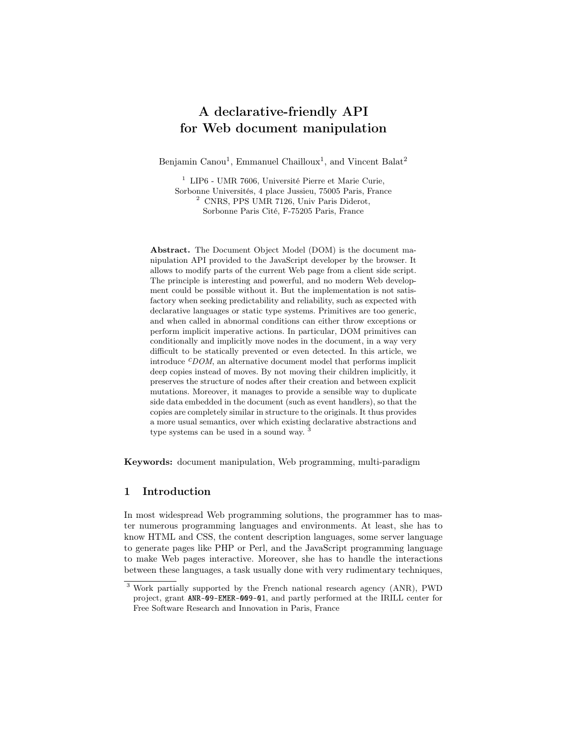# A declarative-friendly API for Web document manipulation

Benjamin Canou<sup>1</sup>, Emmanuel Chailloux<sup>1</sup>, and Vincent Balat<sup>2</sup>

<sup>1</sup> LIP6 - UMR 7606, Université Pierre et Marie Curie, Sorbonne Universités, 4 place Jussieu, 75005 Paris, France <sup>2</sup> CNRS, PPS UMR 7126, Univ Paris Diderot, Sorbonne Paris Cité, F-75205 Paris, France

Abstract. The Document Object Model (DOM) is the document manipulation API provided to the JavaScript developer by the browser. It allows to modify parts of the current Web page from a client side script. The principle is interesting and powerful, and no modern Web development could be possible without it. But the implementation is not satisfactory when seeking predictability and reliability, such as expected with declarative languages or static type systems. Primitives are too generic, and when called in abnormal conditions can either throw exceptions or perform implicit imperative actions. In particular, DOM primitives can conditionally and implicitly move nodes in the document, in a way very difficult to be statically prevented or even detected. In this article, we introduce  $c$  DOM, an alternative document model that performs implicit deep copies instead of moves. By not moving their children implicitly, it preserves the structure of nodes after their creation and between explicit mutations. Moreover, it manages to provide a sensible way to duplicate side data embedded in the document (such as event handlers), so that the copies are completely similar in structure to the originals. It thus provides a more usual semantics, over which existing declarative abstractions and type systems can be used in a sound way.<sup>3</sup>

Keywords: document manipulation, Web programming, multi-paradigm

## 1 Introduction

In most widespread Web programming solutions, the programmer has to master numerous programming languages and environments. At least, she has to know HTML and CSS, the content description languages, some server language to generate pages like PHP or Perl, and the JavaScript programming language to make Web pages interactive. Moreover, she has to handle the interactions between these languages, a task usually done with very rudimentary techniques,

<sup>3</sup> Work partially supported by the French national research agency (ANR), PWD project, grant ANR-09-EMER-009-01, and partly performed at the IRILL center for Free Software Research and Innovation in Paris, France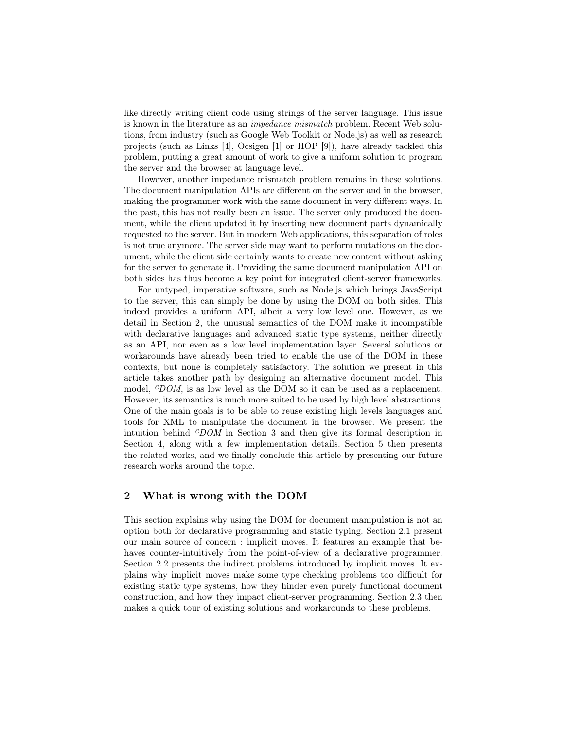like directly writing client code using strings of the server language. This issue is known in the literature as an impedance mismatch problem. Recent Web solutions, from industry (such as Google Web Toolkit or Node.js) as well as research projects (such as Links [4], Ocsigen [1] or HOP [9]), have already tackled this problem, putting a great amount of work to give a uniform solution to program the server and the browser at language level.

However, another impedance mismatch problem remains in these solutions. The document manipulation APIs are different on the server and in the browser, making the programmer work with the same document in very different ways. In the past, this has not really been an issue. The server only produced the document, while the client updated it by inserting new document parts dynamically requested to the server. But in modern Web applications, this separation of roles is not true anymore. The server side may want to perform mutations on the document, while the client side certainly wants to create new content without asking for the server to generate it. Providing the same document manipulation API on both sides has thus become a key point for integrated client-server frameworks.

For untyped, imperative software, such as Node.js which brings JavaScript to the server, this can simply be done by using the DOM on both sides. This indeed provides a uniform API, albeit a very low level one. However, as we detail in Section 2, the unusual semantics of the DOM make it incompatible with declarative languages and advanced static type systems, neither directly as an API, nor even as a low level implementation layer. Several solutions or workarounds have already been tried to enable the use of the DOM in these contexts, but none is completely satisfactory. The solution we present in this article takes another path by designing an alternative document model. This model, CDOM, is as low level as the DOM so it can be used as a replacement. However, its semantics is much more suited to be used by high level abstractions. One of the main goals is to be able to reuse existing high levels languages and tools for XML to manipulate the document in the browser. We present the intuition behind  $cDOM$  in Section 3 and then give its formal description in Section 4, along with a few implementation details. Section 5 then presents the related works, and we finally conclude this article by presenting our future research works around the topic.

### 2 What is wrong with the DOM

This section explains why using the DOM for document manipulation is not an option both for declarative programming and static typing. Section 2.1 present our main source of concern : implicit moves. It features an example that behaves counter-intuitively from the point-of-view of a declarative programmer. Section 2.2 presents the indirect problems introduced by implicit moves. It explains why implicit moves make some type checking problems too difficult for existing static type systems, how they hinder even purely functional document construction, and how they impact client-server programming. Section 2.3 then makes a quick tour of existing solutions and workarounds to these problems.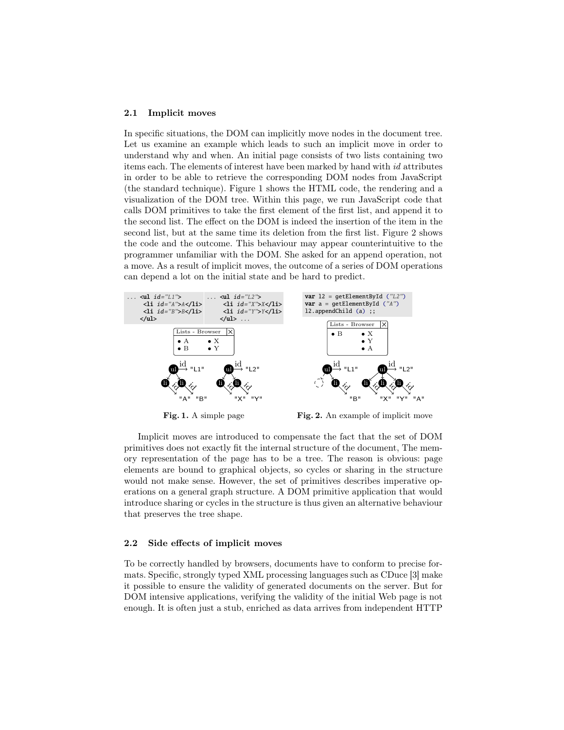#### 2.1 Implicit moves

In specific situations, the DOM can implicitly move nodes in the document tree. Let us examine an example which leads to such an implicit move in order to understand why and when. An initial page consists of two lists containing two items each. The elements of interest have been marked by hand with id attributes in order to be able to retrieve the corresponding DOM nodes from JavaScript (the standard technique). Figure 1 shows the HTML code, the rendering and a visualization of the DOM tree. Within this page, we run JavaScript code that calls DOM primitives to take the first element of the first list, and append it to the second list. The effect on the DOM is indeed the insertion of the item in the second list, but at the same time its deletion from the first list. Figure 2 shows the code and the outcome. This behaviour may appear counterintuitive to the programmer unfamiliar with the DOM. She asked for an append operation, not a move. As a result of implicit moves, the outcome of a series of DOM operations can depend a lot on the initial state and be hard to predict.



Fig. 1. A simple page

Fig. 2. An example of implicit move

Implicit moves are introduced to compensate the fact that the set of DOM primitives does not exactly fit the internal structure of the document, The memory representation of the page has to be a tree. The reason is obvious: page elements are bound to graphical objects, so cycles or sharing in the structure would not make sense. However, the set of primitives describes imperative operations on a general graph structure. A DOM primitive application that would introduce sharing or cycles in the structure is thus given an alternative behaviour that preserves the tree shape.

#### 2.2 Side effects of implicit moves

To be correctly handled by browsers, documents have to conform to precise formats. Specific, strongly typed XML processing languages such as CDuce [3] make it possible to ensure the validity of generated documents on the server. But for DOM intensive applications, verifying the validity of the initial Web page is not enough. It is often just a stub, enriched as data arrives from independent HTTP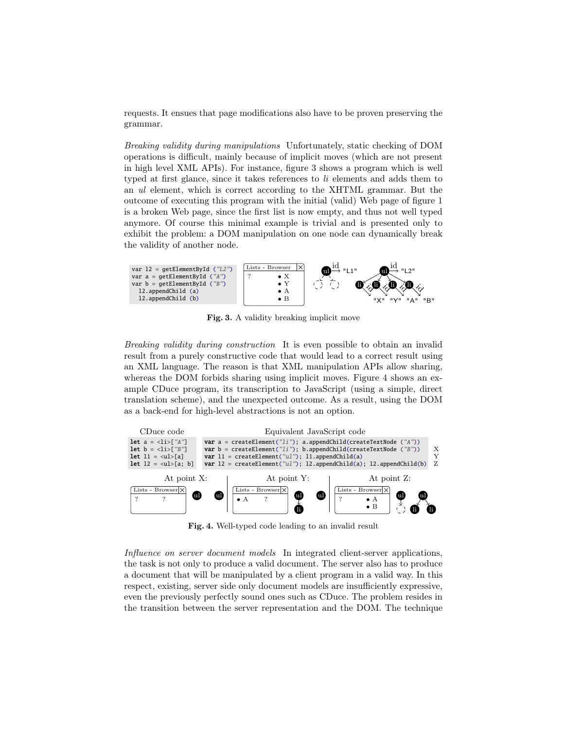requests. It ensues that page modifications also have to be proven preserving the grammar.

Breaking validity during manipulations Unfortunately, static checking of DOM operations is difficult, mainly because of implicit moves (which are not present in high level XML APIs). For instance, figure 3 shows a program which is well typed at first glance, since it takes references to li elements and adds them to an ul element, which is correct according to the XHTML grammar. But the outcome of executing this program with the initial (valid) Web page of figure 1 is a broken Web page, since the first list is now empty, and thus not well typed anymore. Of course this minimal example is trivial and is presented only to exhibit the problem: a DOM manipulation on one node can dynamically break the validity of another node.



Fig. 3. A validity breaking implicit move

Breaking validity during construction It is even possible to obtain an invalid result from a purely constructive code that would lead to a correct result using an XML language. The reason is that XML manipulation APIs allow sharing, whereas the DOM forbids sharing using implicit moves. Figure 4 shows an example CDuce program, its transcription to JavaScript (using a simple, direct translation scheme), and the unexpected outcome. As a result, using the DOM as a back-end for high-level abstractions is not an option.



Fig. 4. Well-typed code leading to an invalid result

Influence on server document models In integrated client-server applications, the task is not only to produce a valid document. The server also has to produce a document that will be manipulated by a client program in a valid way. In this respect, existing, server side only document models are insufficiently expressive, even the previously perfectly sound ones such as CDuce. The problem resides in the transition between the server representation and the DOM. The technique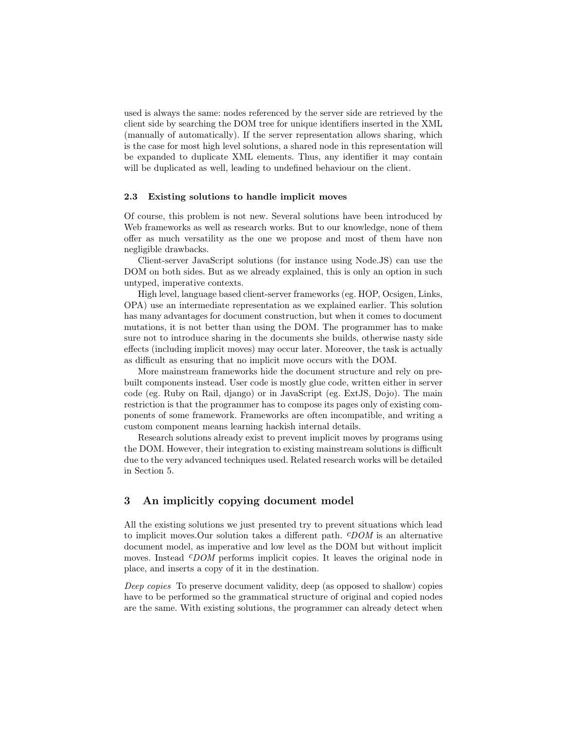used is always the same: nodes referenced by the server side are retrieved by the client side by searching the DOM tree for unique identifiers inserted in the XML (manually of automatically). If the server representation allows sharing, which is the case for most high level solutions, a shared node in this representation will be expanded to duplicate XML elements. Thus, any identifier it may contain will be duplicated as well, leading to undefined behaviour on the client.

#### 2.3 Existing solutions to handle implicit moves

Of course, this problem is not new. Several solutions have been introduced by Web frameworks as well as research works. But to our knowledge, none of them offer as much versatility as the one we propose and most of them have non negligible drawbacks.

Client-server JavaScript solutions (for instance using Node.JS) can use the DOM on both sides. But as we already explained, this is only an option in such untyped, imperative contexts.

High level, language based client-server frameworks (eg. HOP, Ocsigen, Links, OPA) use an intermediate representation as we explained earlier. This solution has many advantages for document construction, but when it comes to document mutations, it is not better than using the DOM. The programmer has to make sure not to introduce sharing in the documents she builds, otherwise nasty side effects (including implicit moves) may occur later. Moreover, the task is actually as difficult as ensuring that no implicit move occurs with the DOM.

More mainstream frameworks hide the document structure and rely on prebuilt components instead. User code is mostly glue code, written either in server code (eg. Ruby on Rail, django) or in JavaScript (eg. ExtJS, Dojo). The main restriction is that the programmer has to compose its pages only of existing components of some framework. Frameworks are often incompatible, and writing a custom component means learning hackish internal details.

Research solutions already exist to prevent implicit moves by programs using the DOM. However, their integration to existing mainstream solutions is difficult due to the very advanced techniques used. Related research works will be detailed in Section 5.

## 3 An implicitly copying document model

All the existing solutions we just presented try to prevent situations which lead to implicit moves. Our solution takes a different path.  $cDOM$  is an alternative document model, as imperative and low level as the DOM but without implicit moves. Instead *cDOM* performs implicit copies. It leaves the original node in place, and inserts a copy of it in the destination.

Deep copies To preserve document validity, deep (as opposed to shallow) copies have to be performed so the grammatical structure of original and copied nodes are the same. With existing solutions, the programmer can already detect when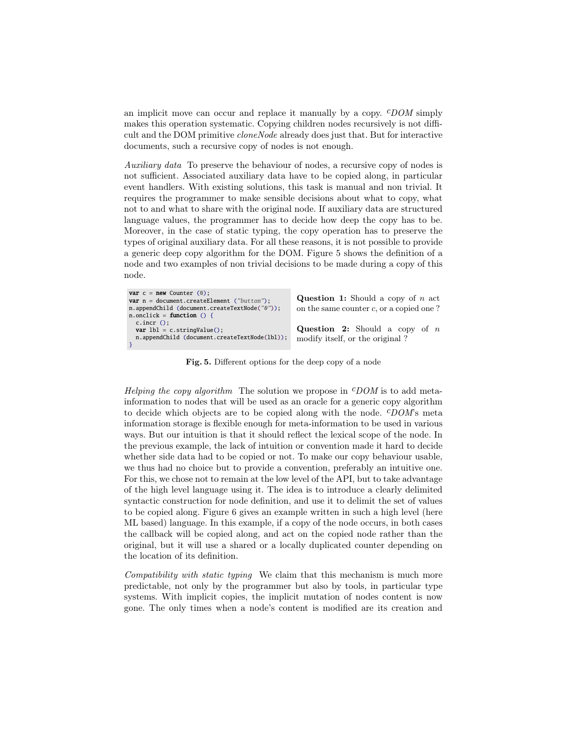an implicit move can occur and replace it manually by a copy.  $cDOM$  simply makes this operation systematic. Copying children nodes recursively is not difficult and the DOM primitive cloneNode already does just that. But for interactive documents, such a recursive copy of nodes is not enough.

Auxiliary data To preserve the behaviour of nodes, a recursive copy of nodes is not sufficient. Associated auxiliary data have to be copied along, in particular event handlers. With existing solutions, this task is manual and non trivial. It requires the programmer to make sensible decisions about what to copy, what not to and what to share with the original node. If auxiliary data are structured language values, the programmer has to decide how deep the copy has to be. Moreover, in the case of static typing, the copy operation has to preserve the types of original auxiliary data. For all these reasons, it is not possible to provide a generic deep copy algorithm for the DOM. Figure 5 shows the definition of a node and two examples of non trivial decisions to be made during a copy of this node.

| $var c = new Counter (0);$<br>$var$ n = document.createElement ("button");<br>n.appendChild (document.createTextNode("0"));<br>$n.$ onclick = <b>function</b> () { | <b>Question 1:</b> Should a copy of <i>n</i> act<br>on the same counter $c$ , or a copied one? |  |  |
|--------------------------------------------------------------------------------------------------------------------------------------------------------------------|------------------------------------------------------------------------------------------------|--|--|
| $c.incr()$ :<br>$var$ lbl = c.stringValue();<br>n.appendChild (document.createTextNode(lbl));                                                                      | <b>Question 2:</b> Should a copy of $n$<br>modify itself, or the original?                     |  |  |

Fig. 5. Different options for the deep copy of a node

Helping the copy algorithm The solution we propose in  $\mathcal{CD}OM$  is to add metainformation to nodes that will be used as an oracle for a generic copy algorithm to decide which objects are to be copied along with the node.  $cDOM$ s meta information storage is flexible enough for meta-information to be used in various ways. But our intuition is that it should reflect the lexical scope of the node. In the previous example, the lack of intuition or convention made it hard to decide whether side data had to be copied or not. To make our copy behaviour usable, we thus had no choice but to provide a convention, preferably an intuitive one. For this, we chose not to remain at the low level of the API, but to take advantage of the high level language using it. The idea is to introduce a clearly delimited syntactic construction for node definition, and use it to delimit the set of values to be copied along. Figure 6 gives an example written in such a high level (here ML based) language. In this example, if a copy of the node occurs, in both cases the callback will be copied along, and act on the copied node rather than the original, but it will use a shared or a locally duplicated counter depending on the location of its definition.

Compatibility with static typing We claim that this mechanism is much more predictable, not only by the programmer but also by tools, in particular type systems. With implicit copies, the implicit mutation of nodes content is now gone. The only times when a node's content is modified are its creation and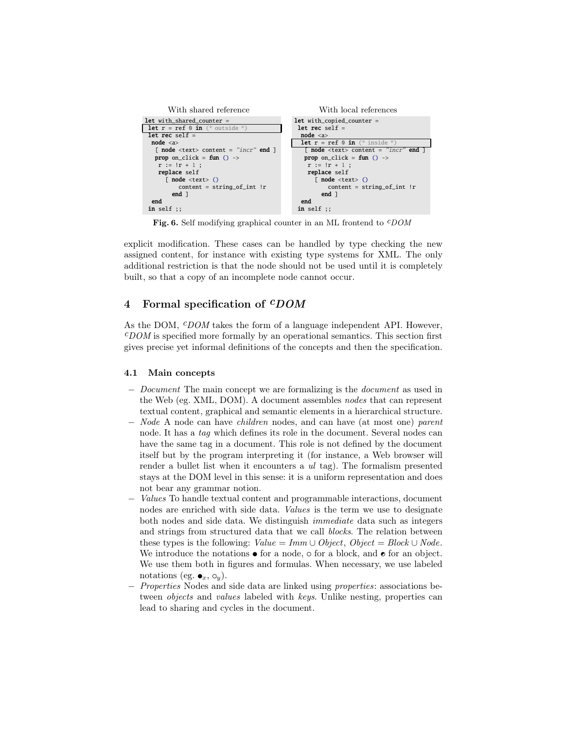

Fig. 6. Self modifying graphical counter in an ML frontend to  $c$ DOM

explicit modification. These cases can be handled by type checking the new assigned content, for instance with existing type systems for XML. The only additional restriction is that the node should not be used until it is completely built, so that a copy of an incomplete node cannot occur.

## 4 Formal specification of  $cDOM$

As the DOM, <sup>c</sup>DOM takes the form of a language independent API. However,  $cDOM$  is specified more formally by an operational semantics. This section first gives precise yet informal definitions of the concepts and then the specification.

#### 4.1 Main concepts

- − Document The main concept we are formalizing is the document as used in the Web (eg. XML, DOM). A document assembles nodes that can represent textual content, graphical and semantic elements in a hierarchical structure.
- − Node A node can have children nodes, and can have (at most one) parent node. It has a tag which defines its role in the document. Several nodes can have the same tag in a document. This role is not defined by the document itself but by the program interpreting it (for instance, a Web browser will render a bullet list when it encounters a ul tag). The formalism presented stays at the DOM level in this sense: it is a uniform representation and does not bear any grammar notion.
- − Values To handle textual content and programmable interactions, document nodes are enriched with side data. Values is the term we use to designate both nodes and side data. We distinguish immediate data such as integers and strings from structured data that we call *blocks*. The relation between these types is the following: Value = Imm ∪ Object, Object = Block ∪ Node. We introduce the notations  $\bullet$  for a node,  $\circ$  for a block, and  $\bullet$  for an object. We use them both in figures and formulas. When necessary, we use labeled notations (eg.  $\bullet_x, \circ_y$ ).
- − Properties Nodes and side data are linked using properties: associations between objects and values labeled with keys. Unlike nesting, properties can lead to sharing and cycles in the document.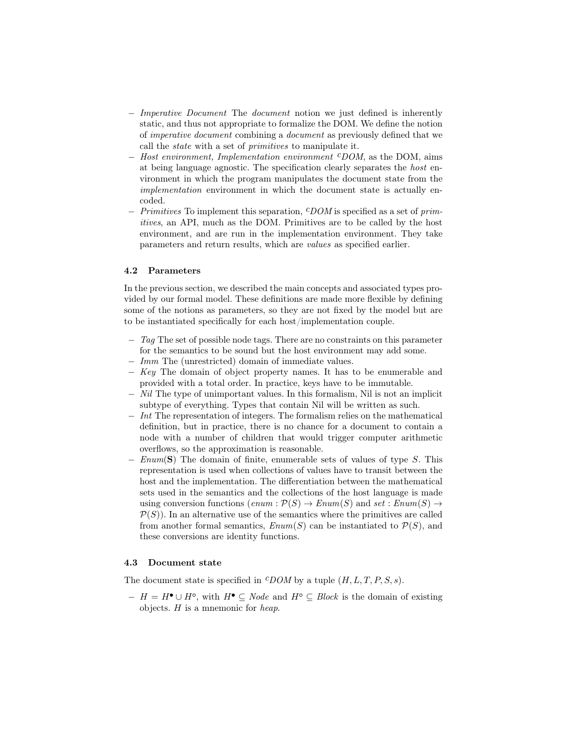- − Imperative Document The document notion we just defined is inherently static, and thus not appropriate to formalize the DOM. We define the notion of imperative document combining a document as previously defined that we call the state with a set of primitives to manipulate it.
- − Host environment, Implementation environment cDOM, as the DOM, aims at being language agnostic. The specification clearly separates the host environment in which the program manipulates the document state from the implementation environment in which the document state is actually encoded.
- $-$  Primitives To implement this separation, cDOM is specified as a set of primitives, an API, much as the DOM. Primitives are to be called by the host environment, and are run in the implementation environment. They take parameters and return results, which are values as specified earlier.

#### 4.2 Parameters

In the previous section, we described the main concepts and associated types provided by our formal model. These definitions are made more flexible by defining some of the notions as parameters, so they are not fixed by the model but are to be instantiated specifically for each host/implementation couple.

- − Tag The set of possible node tags. There are no constraints on this parameter for the semantics to be sound but the host environment may add some.
- − Imm The (unrestricted) domain of immediate values.
- − Key The domain of object property names. It has to be enumerable and provided with a total order. In practice, keys have to be immutable.
- − Nil The type of unimportant values. In this formalism, Nil is not an implicit subtype of everything. Types that contain Nil will be written as such.
- $-Int$  The representation of integers. The formalism relies on the mathematical definition, but in practice, there is no chance for a document to contain a node with a number of children that would trigger computer arithmetic overflows, so the approximation is reasonable.
- $-Fnum(S)$  The domain of finite, enumerable sets of values of type S. This representation is used when collections of values have to transit between the host and the implementation. The differentiation between the mathematical sets used in the semantics and the collections of the host language is made using conversion functions  $(enum : \mathcal{P}(S) \to Enum(S)$  and set :  $Enum(S) \to$  $P(S)$ . In an alternative use of the semantics where the primitives are called from another formal semantics,  $Enum(S)$  can be instantiated to  $P(S)$ , and these conversions are identity functions.

#### 4.3 Document state

The document state is specified in  $\mathcal{CD}OM$  by a tuple  $(H, L, T, P, S, s)$ .

 $- H = H^{\bullet} \cup H^{\circ}$ , with  $H^{\bullet} \subseteq Node$  and  $H^{\circ} \subseteq Block$  is the domain of existing objects.  $H$  is a mnemonic for heap.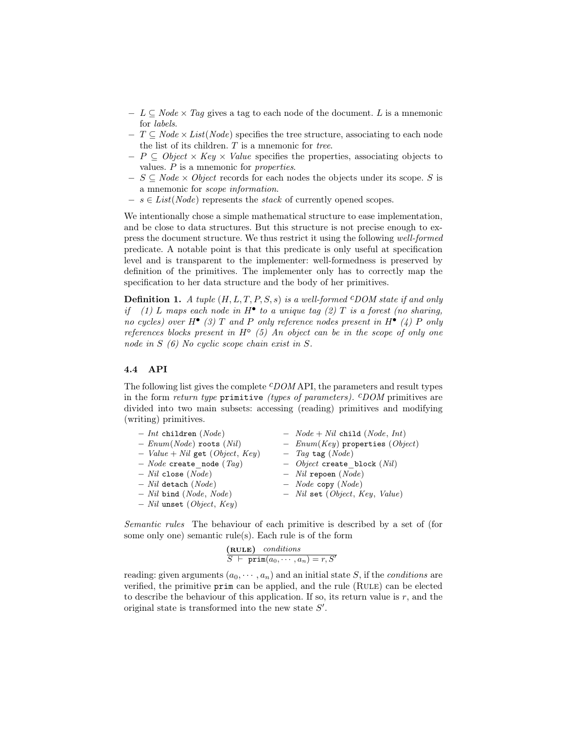- $-L \subseteq Node \times Tag$  gives a tag to each node of the document. L is a mnemonic for labels.
- $-T \subseteq Node \times List(Node)$  specifies the tree structure, associating to each node the list of its children. T is a mnemonic for tree.
- $-P \subseteq Object \times Key \times Value$  specifies the properties, associating objects to values.  $P$  is a mnemonic for *properties*.
- $S \subseteq Node \times Object$  records for each nodes the objects under its scope. S is a mnemonic for scope information.
- $s \in List(Node)$  represents the stack of currently opened scopes.

We intentionally chose a simple mathematical structure to ease implementation, and be close to data structures. But this structure is not precise enough to express the document structure. We thus restrict it using the following well-formed predicate. A notable point is that this predicate is only useful at specification level and is transparent to the implementer: well-formedness is preserved by definition of the primitives. The implementer only has to correctly map the specification to her data structure and the body of her primitives.

**Definition 1.** A tuple  $(H, L, T, P, S, s)$  is a well-formed *CDOM* state if and only if (1) L maps each node in  $H^{\bullet}$  to a unique tag (2) T is a forest (no sharing, no cycles) over  $H^{\bullet}$  (3) T and P only reference nodes present in  $H^{\bullet}$  (4) P only references blocks present in  $H^{\circ}$  (5) An object can be in the scope of only one node in S (6) No cyclic scope chain exist in S.

#### 4.4 API

The following list gives the complete  $\mathcal{CD}OM$  API, the parameters and result types in the form *return type* primitive (types of parameters). CDOM primitives are divided into two main subsets: accessing (reading) primitives and modifying (writing) primitives.

| $- Int$ children ( <i>Node</i> )                    | $-$ <i>Node</i> + <i>Nil</i> child ( <i>Node</i> , <i>Int</i> ) |
|-----------------------------------------------------|-----------------------------------------------------------------|
| $-$ Enum(Node) roots (Nil)                          | $ Enum(Key)$ properties (Object)                                |
| $-$ Value + Nil get (Object, Key)                   | $-$ Tag tag (Node)                                              |
| $-$ <i>Node</i> create node ( <i>Taq</i> )          | $-$ <i>Object</i> create block $(Nil)$                          |
| $-$ <i>Nil</i> close ( <i>Node</i> )                | $-$ <i>Nil</i> repoen ( <i>Node</i> )                           |
| $ Nil$ detach $(Node)$                              | $-$ <i>Node</i> copy ( <i>Node</i> )                            |
| $-$ Nil bind (Node, Node)                           | $-$ Nil set (Object, Key, Value)                                |
| $-$ <i>Nil</i> unset ( <i>Object</i> , <i>Key</i> ) |                                                                 |

Semantic rules The behaviour of each primitive is described by a set of (for some only one) semantic rule(s). Each rule is of the form

$$
\frac{\textbf{(Rule) } conditions}{S \text{ }\vdash \text{ prim}(a_0, \cdots, a_n) = r, S'}
$$

reading: given arguments  $(a_0, \dots, a_n)$  and an initial state S, if the *conditions* are verified, the primitive  $\text{prim can be applied}$ , and the rule  $(RULE)$  can be elected to describe the behaviour of this application. If so, its return value is  $r$ , and the original state is transformed into the new state  $S'$ .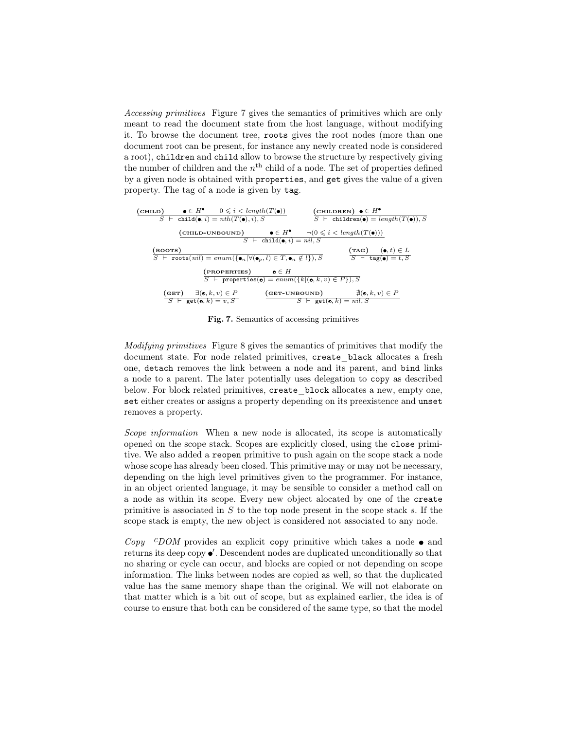Accessing primitives Figure 7 gives the semantics of primitives which are only meant to read the document state from the host language, without modifying it. To browse the document tree, roots gives the root nodes (more than one document root can be present, for instance any newly created node is considered a root), children and child allow to browse the structure by respectively giving the number of children and the  $n<sup>th</sup>$  child of a node. The set of properties defined by a given node is obtained with properties, and get gives the value of a given property. The tag of a node is given by tag.

| $\bullet \in H^{\bullet}$ $0 \leqslant i < length(T(\bullet))$<br>$\rm (CHILD)$<br>$S \vdash \text{child}(\bullet, i) = nth(T(\bullet), i), S$                                             |               |                                              | (CHILDREN) $\bullet \in H^{\bullet}$                                  | $S \vdash \text{children}(\bullet) = length(T(\bullet)), S$ |  |  |  |  |
|--------------------------------------------------------------------------------------------------------------------------------------------------------------------------------------------|---------------|----------------------------------------------|-----------------------------------------------------------------------|-------------------------------------------------------------|--|--|--|--|
| (CHILD-UNBOUND)                                                                                                                                                                            |               |                                              | $\bullet \in H^{\bullet} \qquad \neg (0 \leq i < length(T(\bullet)))$ |                                                             |  |  |  |  |
| $S \vdash \text{child}(\bullet, i) = nil, S$                                                                                                                                               |               |                                              |                                                                       |                                                             |  |  |  |  |
| (ROOTS)<br>$(\bullet, t) \in L$<br>(TAG)<br>$S \vdash \text{roots}(nil) = enum(\{\bullet_n   \forall (\bullet_p, l) \in T, \bullet_n \notin l\}), S$<br>$S + \text{tag}$ $\bullet) = t, S$ |               |                                              |                                                                       |                                                             |  |  |  |  |
| (PROPERTIES)<br>$\bullet \in H$<br>$S \vdash$ properties( $\mathbf{e}$ ) = $enum({k (\mathbf{e}, k, v) \in P}), S$                                                                         |               |                                              |                                                                       |                                                             |  |  |  |  |
| $\exists(\bullet, k, v) \in P$<br>GET)<br>$S \vdash \mathsf{get}(\bullet, k) = v, S$                                                                                                       | (GET-UNBOUND) | $S \vdash \mathsf{get}(\bullet, k) = nil, S$ | $\exists(\bullet, k, v) \in P$                                        |                                                             |  |  |  |  |

Fig. 7. Semantics of accessing primitives

Modifying primitives Figure 8 gives the semantics of primitives that modify the document state. For node related primitives, create\_black allocates a fresh one, detach removes the link between a node and its parent, and bind links a node to a parent. The later potentially uses delegation to copy as described below. For block related primitives, create block allocates a new, empty one, set either creates or assigns a property depending on its preexistence and unset removes a property.

Scope information When a new node is allocated, its scope is automatically opened on the scope stack. Scopes are explicitly closed, using the close primitive. We also added a reopen primitive to push again on the scope stack a node whose scope has already been closed. This primitive may or may not be necessary, depending on the high level primitives given to the programmer. For instance, in an object oriented language, it may be sensible to consider a method call on a node as within its scope. Every new object alocated by one of the create primitive is associated in  $S$  to the top node present in the scope stack  $s$ . If the scope stack is empty, the new object is considered not associated to any node.

Copy cDOM provides an explicit copy primitive which takes a node  $\bullet$  and returns its deep copy  $\bullet'$ . Descendent nodes are duplicated unconditionally so that no sharing or cycle can occur, and blocks are copied or not depending on scope information. The links between nodes are copied as well, so that the duplicated value has the same memory shape than the original. We will not elaborate on that matter which is a bit out of scope, but as explained earlier, the idea is of course to ensure that both can be considered of the same type, so that the model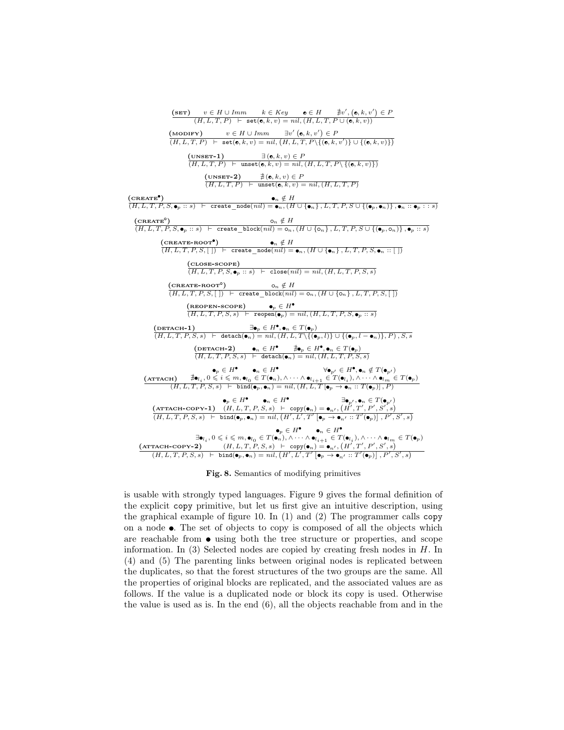

Fig. 8. Semantics of modifying primitives

is usable with strongly typed languages. Figure 9 gives the formal definition of the explicit copy primitive, but let us first give an intuitive description, using the graphical example of figure 10. In (1) and (2) The programmer calls copy on a node  $\bullet$ . The set of objects to copy is composed of all the objects which are reachable from  $\bullet$  using both the tree structure or properties, and scope information. In  $(3)$  Selected nodes are copied by creating fresh nodes in H. In (4) and (5) The parenting links between original nodes is replicated between the duplicates, so that the forest structures of the two groups are the same. All the properties of original blocks are replicated, and the associated values are as follows. If the value is a duplicated node or block its copy is used. Otherwise the value is used as is. In the end  $(6)$ , all the objects reachable from and in the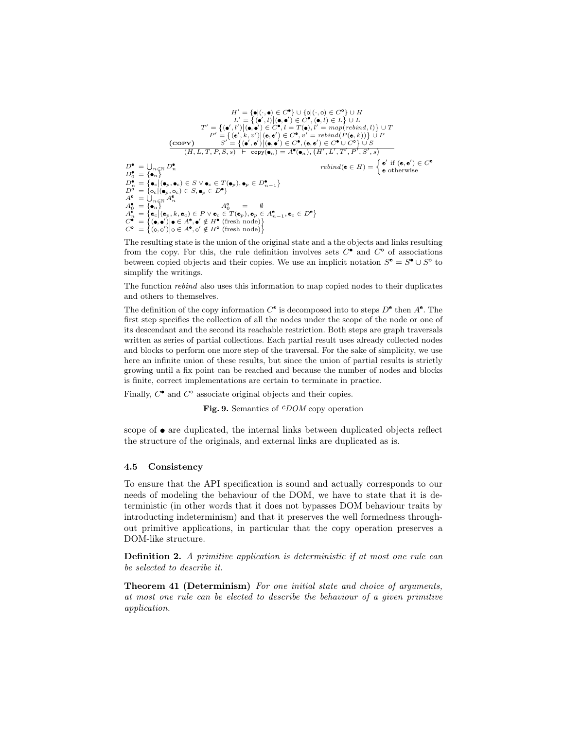$$
H' = \{ \bullet | (\cdot, \bullet) \in C^{\bullet} \} \cup \{ \circ | (\cdot, \circ) \in C^{\circ} \} \cup H
$$
  
\n
$$
L' = \{ (\bullet', l') | (\bullet, \bullet') \in C^{\bullet}, (\bullet, l) \in L \} \cup L
$$
  
\n
$$
T' = \{ (\bullet', l') | (\bullet, \bullet') \in C^{\bullet}, l = T(\bullet), l' = map (rebind, l) \} \cup T
$$
  
\n
$$
P' = \{ (\bullet', k, v') | (\bullet, \bullet') \in C^{\bullet}, v' = rebind(P(\bullet, k)) \} \cup P
$$
  
\n
$$
\underbrace{(C\circ PY)}_{(H, L, T, P, S, s)} = \underbrace{S' = \{ (\bullet', \bullet) | (\bullet, \bullet') \in C^{\bullet}, (\bullet, \bullet') \in C^{\bullet} \} \cup S}_{(H, L, T, P, S, s)} \cup P
$$
  
\n
$$
D_{0}^{\bullet} = \{ \bullet_{n} \}
$$
  
\n
$$
D_{0}^{\bullet} = \{ \bullet_{n} \}
$$
  
\n
$$
D_{n}^{\bullet} = \{ \bullet_{c} | (\bullet_{p}, \bullet_{c}) \in S \vee \bullet_{c} \in T(\bullet_{p}), \bullet_{p} \in D_{n-1}^{\bullet} \}
$$
  
\n
$$
P_{n}^{\bullet} = \{ \bullet_{c} | (\bullet_{p}, \bullet_{c}) \in S, \bullet_{p} \in D^{\bullet} \}
$$
  
\n
$$
P_{n}^{\bullet} = \{ \bullet_{c} | (\bullet_{p}, \bullet_{c}) \in S, \bullet_{p} \in D^{\bullet} \}
$$
  
\n
$$
A_{0}^{\bullet} = \{ \bullet_{n} \}
$$
  
\n
$$
A_{1}^{\bullet} = \{ \bullet_{n} \} \qquad A_{0}^{\circ} = \emptyset
$$
  
\n
$$
A_{n}^{\bullet} = \{ \bullet_{c} | (\bullet_{p}, k, \bullet_{c}) \in P \vee \bullet_{c} \in T(\bullet_{p}), \bullet_{p} \in A_{n-1}^{\bullet}, \bullet_{c} \in D^{\bullet} \}
$$
  
\n
$$
C^{\bullet} = \{ (\bullet, \bullet) | \bullet \in A^{\bullet}, \bullet' \notin
$$

The resulting state is the union of the original state and a the objects and links resulting from the copy. For this, the rule definition involves sets  $C^{\bullet}$  and  $C^{\circ}$  of associations between copied objects and their copies. We use an implicit notation  $S^{\bullet} = S^{\bullet} \cup S^{\circ}$  to simplify the writings.

The function rebind also uses this information to map copied nodes to their duplicates and others to themselves.

The definition of the copy information  $C^{\bullet}$  is decomposed into to steps  $D^{\bullet}$  then  $A^{\bullet}$ . The first step specifies the collection of all the nodes under the scope of the node or one of its descendant and the second its reachable restriction. Both steps are graph traversals written as series of partial collections. Each partial result uses already collected nodes and blocks to perform one more step of the traversal. For the sake of simplicity, we use here an infinite union of these results, but since the union of partial results is strictly growing until a fix point can be reached and because the number of nodes and blocks is finite, correct implementations are certain to terminate in practice.

Finally,  $C^{\bullet}$  and  $C^{\circ}$  associate original objects and their copies.

Fig. 9. Semantics of  $\mathcal{CD}OM$  copy operation

scope of  $\bullet$  are duplicated, the internal links between duplicated objects reflect the structure of the originals, and external links are duplicated as is.

#### 4.5 Consistency

To ensure that the API specification is sound and actually corresponds to our needs of modeling the behaviour of the DOM, we have to state that it is deterministic (in other words that it does not bypasses DOM behaviour traits by introducting indeterminism) and that it preserves the well formedness throughout primitive applications, in particular that the copy operation preserves a DOM-like structure.

Definition 2. A primitive application is deterministic if at most one rule can be selected to describe it.

Theorem 41 (Determinism) For one initial state and choice of arguments, at most one rule can be elected to describe the behaviour of a given primitive application.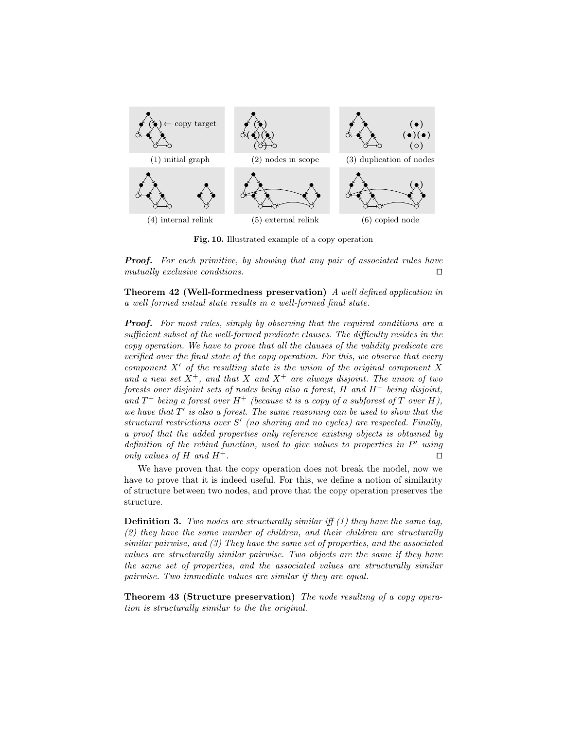

Fig. 10. Illustrated example of a copy operation

**Proof.** For each primitive, by showing that any pair of associated rules have mutually exclusive conditions.  $\square$ 

Theorem 42 (Well-formedness preservation) A well defined application in a well formed initial state results in a well-formed final state.

**Proof.** For most rules, simply by observing that the required conditions are a sufficient subset of the well-formed predicate clauses. The difficulty resides in the copy operation. We have to prove that all the clauses of the validity predicate are verified over the final state of the copy operation. For this, we observe that every component  $X'$  of the resulting state is the union of the original component X and a new set  $X^+$ , and that X and  $X^+$  are always disjoint. The union of two forests over disjoint sets of nodes being also a forest, H and  $H^+$  being disjoint, and  $T^+$  being a forest over  $H^+$  (because it is a copy of a subforest of T over H), we have that  $T'$  is also a forest. The same reasoning can be used to show that the structural restrictions over  $S'$  (no sharing and no cycles) are respected. Finally, a proof that the added properties only reference existing objects is obtained by definition of the rebind function, used to give values to properties in  $P'$  using only values of H and  $H^+$ .

We have proven that the copy operation does not break the model, now we have to prove that it is indeed useful. For this, we define a notion of similarity of structure between two nodes, and prove that the copy operation preserves the structure.

**Definition 3.** Two nodes are structurally similar iff  $(1)$  they have the same tag, (2) they have the same number of children, and their children are structurally similar pairwise, and (3) They have the same set of properties, and the associated values are structurally similar pairwise. Two objects are the same if they have the same set of properties, and the associated values are structurally similar pairwise. Two immediate values are similar if they are equal.

Theorem 43 (Structure preservation) The node resulting of a copy operation is structurally similar to the the original.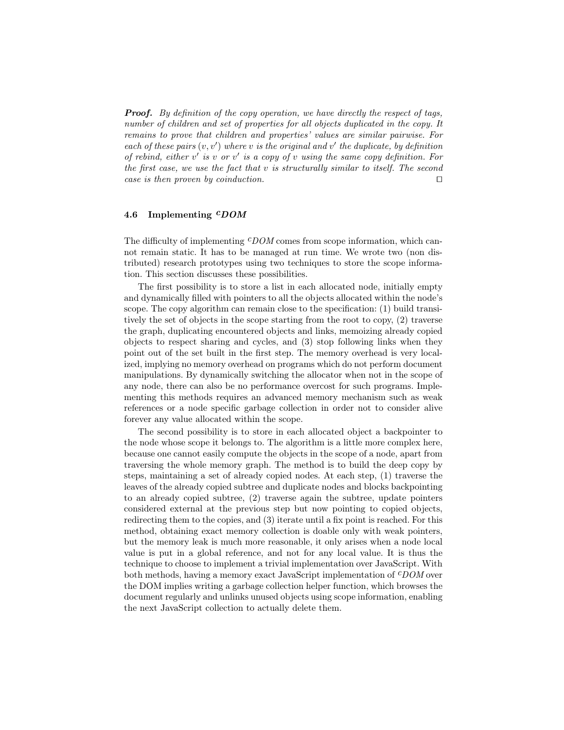**Proof.** By definition of the copy operation, we have directly the respect of tags, number of children and set of properties for all objects duplicated in the copy. It remains to prove that children and properties' values are similar pairwise. For each of these pairs  $(v, v')$  where v is the original and v' the duplicate, by definition of rebind, either  $v'$  is v or  $v'$  is a copy of v using the same copy definition. For the first case, we use the fact that  $v$  is structurally similar to itself. The second case is then proven by coinduction.  $\square$ 

#### 4.6 Implementing *CDOM*

The difficulty of implementing *CDOM* comes from scope information, which cannot remain static. It has to be managed at run time. We wrote two (non distributed) research prototypes using two techniques to store the scope information. This section discusses these possibilities.

The first possibility is to store a list in each allocated node, initially empty and dynamically filled with pointers to all the objects allocated within the node's scope. The copy algorithm can remain close to the specification: (1) build transitively the set of objects in the scope starting from the root to copy, (2) traverse the graph, duplicating encountered objects and links, memoizing already copied objects to respect sharing and cycles, and (3) stop following links when they point out of the set built in the first step. The memory overhead is very localized, implying no memory overhead on programs which do not perform document manipulations. By dynamically switching the allocator when not in the scope of any node, there can also be no performance overcost for such programs. Implementing this methods requires an advanced memory mechanism such as weak references or a node specific garbage collection in order not to consider alive forever any value allocated within the scope.

The second possibility is to store in each allocated object a backpointer to the node whose scope it belongs to. The algorithm is a little more complex here, because one cannot easily compute the objects in the scope of a node, apart from traversing the whole memory graph. The method is to build the deep copy by steps, maintaining a set of already copied nodes. At each step, (1) traverse the leaves of the already copied subtree and duplicate nodes and blocks backpointing to an already copied subtree, (2) traverse again the subtree, update pointers considered external at the previous step but now pointing to copied objects, redirecting them to the copies, and (3) iterate until a fix point is reached. For this method, obtaining exact memory collection is doable only with weak pointers, but the memory leak is much more reasonable, it only arises when a node local value is put in a global reference, and not for any local value. It is thus the technique to choose to implement a trivial implementation over JavaScript. With both methods, having a memory exact JavaScript implementation of *CDOM* over the DOM implies writing a garbage collection helper function, which browses the document regularly and unlinks unused objects using scope information, enabling the next JavaScript collection to actually delete them.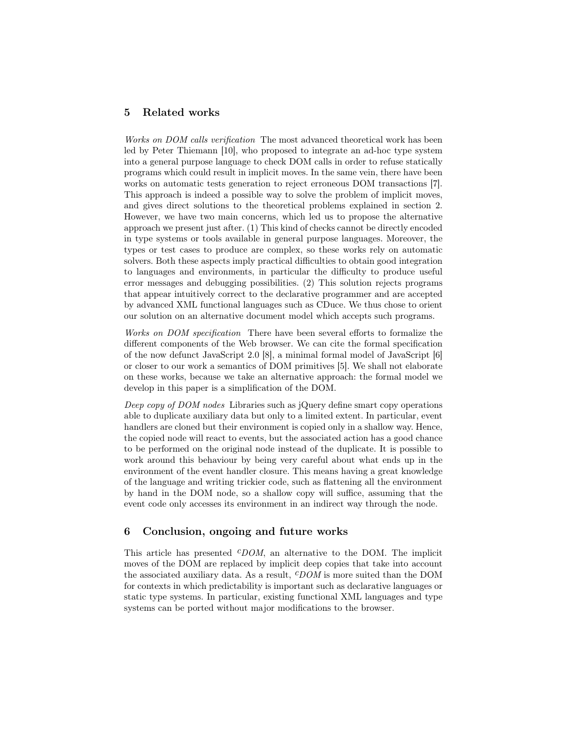## 5 Related works

Works on DOM calls verification The most advanced theoretical work has been led by Peter Thiemann [10], who proposed to integrate an ad-hoc type system into a general purpose language to check DOM calls in order to refuse statically programs which could result in implicit moves. In the same vein, there have been works on automatic tests generation to reject erroneous DOM transactions [7]. This approach is indeed a possible way to solve the problem of implicit moves, and gives direct solutions to the theoretical problems explained in section 2. However, we have two main concerns, which led us to propose the alternative approach we present just after. (1) This kind of checks cannot be directly encoded in type systems or tools available in general purpose languages. Moreover, the types or test cases to produce are complex, so these works rely on automatic solvers. Both these aspects imply practical difficulties to obtain good integration to languages and environments, in particular the difficulty to produce useful error messages and debugging possibilities. (2) This solution rejects programs that appear intuitively correct to the declarative programmer and are accepted by advanced XML functional languages such as CDuce. We thus chose to orient our solution on an alternative document model which accepts such programs.

Works on DOM specification There have been several efforts to formalize the different components of the Web browser. We can cite the formal specification of the now defunct JavaScript 2.0 [8], a minimal formal model of JavaScript [6] or closer to our work a semantics of DOM primitives [5]. We shall not elaborate on these works, because we take an alternative approach: the formal model we develop in this paper is a simplification of the DOM.

Deep copy of DOM nodes Libraries such as jQuery define smart copy operations able to duplicate auxiliary data but only to a limited extent. In particular, event handlers are cloned but their environment is copied only in a shallow way. Hence, the copied node will react to events, but the associated action has a good chance to be performed on the original node instead of the duplicate. It is possible to work around this behaviour by being very careful about what ends up in the environment of the event handler closure. This means having a great knowledge of the language and writing trickier code, such as flattening all the environment by hand in the DOM node, so a shallow copy will suffice, assuming that the event code only accesses its environment in an indirect way through the node.

## 6 Conclusion, ongoing and future works

This article has presented *cDOM*, an alternative to the DOM. The implicit moves of the DOM are replaced by implicit deep copies that take into account the associated auxiliary data. As a result,  $c$ *DOM* is more suited than the DOM for contexts in which predictability is important such as declarative languages or static type systems. In particular, existing functional XML languages and type systems can be ported without major modifications to the browser.